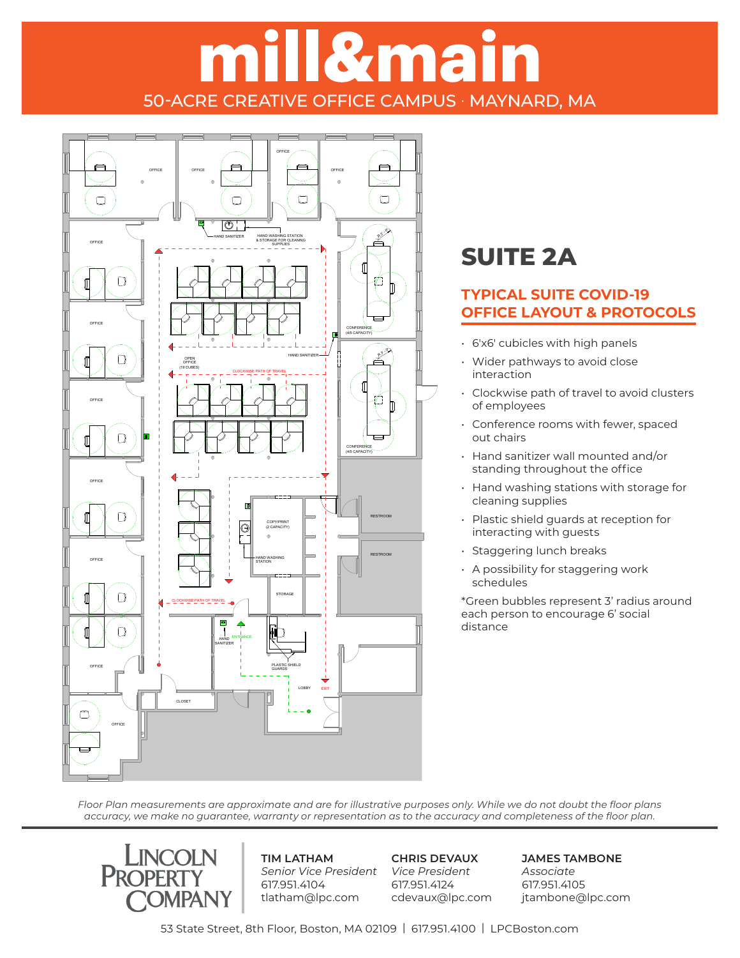# ill&main 50-ACRE CREATIVE OFFICE CAMPUS · MAYNARD, MA



### **SUITE 2A**

### **TYPICAL SUITE COVID-19 OFFICE LAYOUT & PROTOCOLS**

- 6'x6' cubicles with high panels
- Wider pathways to avoid close interaction
- Clockwise path of travel to avoid clusters of employees
- Conference rooms with fewer, spaced out chairs
- Hand sanitizer wall mounted and/or standing throughout the office
- Hand washing stations with storage for cleaning supplies
- Plastic shield guards at reception for interacting with guests
- Staggering lunch breaks
- A possibility for staggering work schedules

\*Green bubbles represent 3' radius around each person to encourage 6' social distance

*Floor Plan measurements are approximate and are for illustrative purposes only. While we do not doubt the floor plans*  accuracy, we make no guarantee, warranty or representation as to the accuracy and completeness of the floor plan.  $S_{\rm 3}$  = 1/16"  $=$  1/16"  $=$ 



**TIM LATHAM** *Senior Vice President Vice President* 617.951.4104 tlatham@lpc.com

**CHRIS DEVAUX** 617.951.4124 cdevaux@lpc.com **JAMES TAMBONE** *Associate* 617.951.4105 jtambone@lpc.com

53 State Street, 8th Floor, Boston, MA 02109 | 617.951.4100 | LPCBoston.com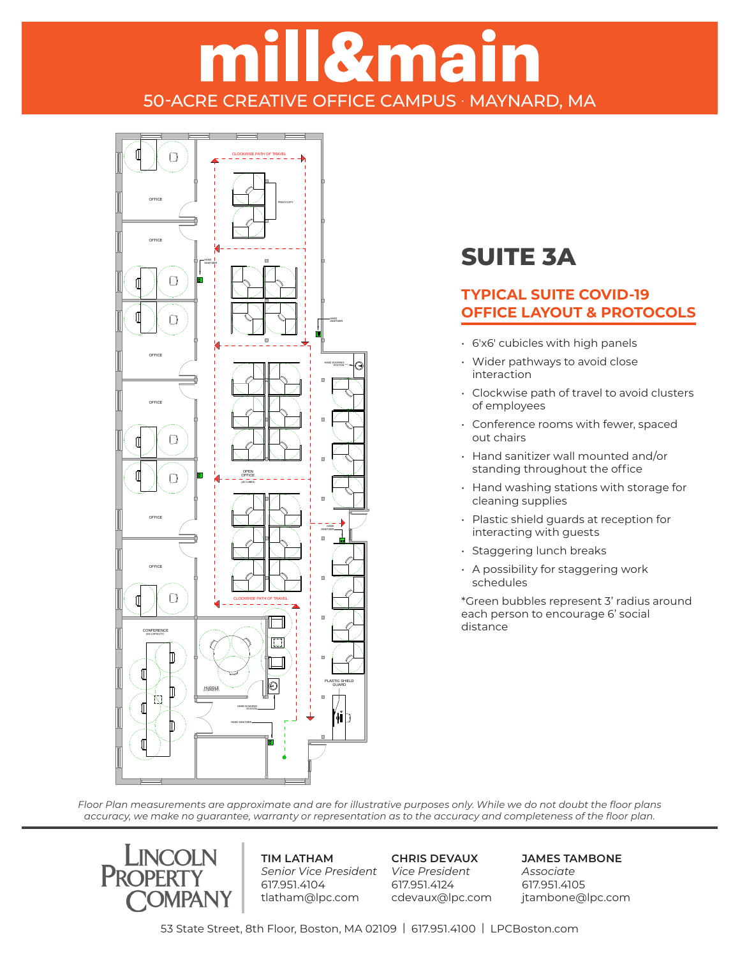## **Il&main** 50-ACRE CREATIVE OFFICE CAMPUS · MAYNARD, MA



### **SUITE 3A**

#### **TYPICAL SUITE COVID-19 OFFICE LAYOUT & PROTOCOLS**

- **6**'x6' cubicles with high panels
	- Wider pathways to avoid close interaction
	- Clockwise path of travel to avoid clusters of employees
	- Conference rooms with fewer, spaced out chairs
	- Hand sanitizer wall mounted and/or standing throughout the office
	- Hand washing stations with storage for cleaning supplies
	- Plastic shield guards at reception for interacting with guests
	- Staggering lunch breaks
	- A possibility for staggering work schedules

\*Green bubbles represent 3' radius around each person to encourage 6' social distance

*Floor Plan measurements are approximate and are for illustrative purposes only. While we do not doubt the floor plans*  accuracy, we make no guarantee, warranty or representation as to the accuracy and completeness of the floor plan.



**TIM LATHAM** *Senior Vice President Vice President* 617.951.4104 tlatham@lpc.com

**CHRIS DEVAUX** 617.951.4124 cdevaux@lpc.com **JAMES TAMBONE** *Associate* 617.951.4105 jtambone@lpc.com

53 State Street, 8th Floor, Boston, MA 02109 | 617.951.4100 | LPCBoston.com